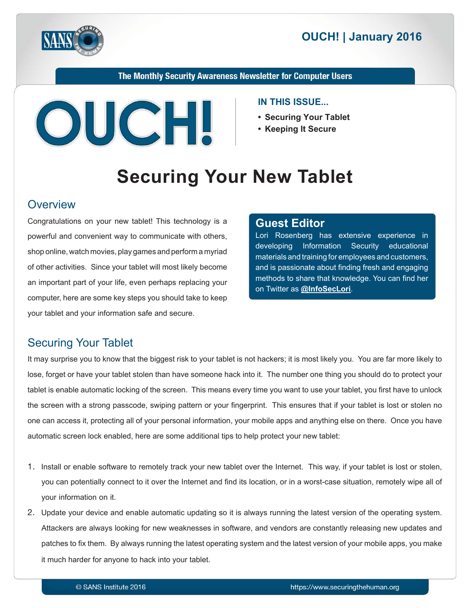



The Monthly Security Awareness Newsletter for Computer Users



#### **IN THIS ISSUE...**

- **Securing Your Tablet**
- **Keeping It Secure**

# **Securing Your New Tablet**

#### **Overview**

Congratulations on your new tablet! This technology is a powerful and convenient way to communicate with others, shop online, watch movies, play games and perform a myriad of other activities. Since your tablet will most likely become an important part of your life, even perhaps replacing your computer, here are some key steps you should take to keep your tablet and your information safe and secure.

#### **Editor Guest**

Lori Rosenberg has extensive experience in developing Information Security educational materials and training for employees and customers, and is passionate about finding fresh and engaging methods to share that knowledge. You can find her on Twitter as **@[InfoSecLori](https://twitter.com/infoseclori)**.

## **Securing Your Tablet**

It may surprise you to know that the biggest risk to your tablet is not hackers; it is most likely you. You are far more likely to lose, forget or have your tablet stolen than have someone hack into it. The number one thing you should do to protect your tablet is enable automatic locking of the screen. This means every time you want to use your tablet, you first have to unlock the screen with a strong passcode, swiping pattern or your fingerprint. This ensures that if your tablet is lost or stolen no one can access it, protecting all of your personal information, your mobile apps and anything else on there. Once you have automatic screen lock enabled, here are some additional tips to help protect your new tablet:

- 1. Install or enable software to remotely track your new tablet over the Internet. This way, if your tablet is lost or stolen, you can potentially connect to it over the Internet and find its location, or in a worst-case situation, remotely wipe all of your information on it.
- 2. Update your device and enable automatic updating so it is always running the latest version of the operating system. Attackers are always looking for new weaknesses in software, and vendors are constantly releasing new updates and patches to fix them. By always running the latest operating system and the latest version of your mobile apps, you make it much harder for anyone to hack into your tablet.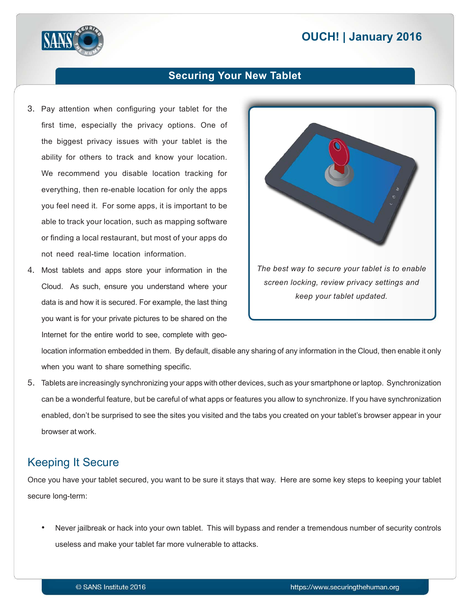## **2016 | OUCH! | January 2016**



#### **Securing Your New Tablet**

- 3. Pay attention when configuring your tablet for the first time, especially the privacy options. One of the biggest privacy issues with your tablet is the ability for others to track and know your location. We recommend you disable location tracking for everything, then re-enable location for only the apps you feel need it. For some apps, it is important to be able to track your location, such as mapping software or finding a local restaurant, but most of your apps do not need real-time location information.
- 4. Most tablets and apps store your information in the Cloud. As such, ensure you understand where your data is and how it is secured. For example, the last thing you want is for your private pictures to be shared on the Internet for the entire world to see, complete with geo-



location information embedded in them. By default, disable any sharing of any information in the Cloud, then enable it only when you want to share something specific.

5. Tablets are increasingly synchronizing your apps with other devices, such as your smartphone or laptop. Synchronization can be a wonderful feature, but be careful of what apps or features you allow to synchronize. If you have synchronization enabled, don't be surprised to see the sites you visited and the tabs you created on your tablet's browser appear in your browser at work.

## **Keeping It Secure**

Once you have your tablet secured, you want to be sure it stays that way. Here are some key steps to keeping your tablet secure long-term:

Never jailbreak or hack into your own tablet. This will bypass and render a tremendous number of security controls useless and make your tablet far more vulnerable to attacks.